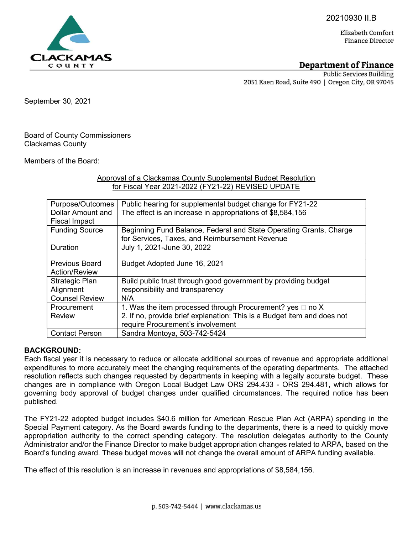20210930 II.B

Elizabeth Comfort **Finance Director** 

# Department of Finance

**Public Services Building** 2051 Kaen Road, Suite 490 | Oregon City, OR 97045

September 30, 2021

Board of County Commissioners Clackamas County

Members of the Board:

### Approval of a Clackamas County Supplemental Budget Resolution for Fiscal Year 2021-2022 (FY21-22) REVISED UPDATE

| Purpose/Outcomes      | Public hearing for supplemental budget change for FY21-22               |
|-----------------------|-------------------------------------------------------------------------|
| Dollar Amount and     | The effect is an increase in appropriations of \$8,584,156              |
| <b>Fiscal Impact</b>  |                                                                         |
| <b>Funding Source</b> | Beginning Fund Balance, Federal and State Operating Grants, Charge      |
|                       | for Services, Taxes, and Reimbursement Revenue                          |
| <b>Duration</b>       | July 1, 2021-June 30, 2022                                              |
|                       |                                                                         |
| <b>Previous Board</b> | Budget Adopted June 16, 2021                                            |
| <b>Action/Review</b>  |                                                                         |
| Strategic Plan        | Build public trust through good government by providing budget          |
| Alignment             | responsibility and transparency                                         |
| <b>Counsel Review</b> | N/A                                                                     |
| Procurement           | 1. Was the item processed through Procurement? yes $\Box$ no X          |
| <b>Review</b>         | 2. If no, provide brief explanation: This is a Budget item and does not |
|                       | require Procurement's involvement                                       |
| <b>Contact Person</b> | Sandra Montoya, 503-742-5424                                            |

#### BACKGROUND:

Each fiscal year it is necessary to reduce or allocate additional sources of revenue and appropriate additional expenditures to more accurately meet the changing requirements of the operating departments. The attached resolution reflects such changes requested by departments in keeping with a legally accurate budget. These changes are in compliance with Oregon Local Budget Law ORS 294.433 - ORS 294.481, which allows for governing body approval of budget changes under qualified circumstances. The required notice has been published.

The FY21-22 adopted budget includes \$40.6 million for American Rescue Plan Act (ARPA) spending in the Special Payment category. As the Board awards funding to the departments, there is a need to quickly move appropriation authority to the correct spending category. The resolution delegates authority to the County Administrator and/or the Finance Director to make budget appropriation changes related to ARPA, based on the Board's funding award. These budget moves will not change the overall amount of ARPA funding available.

The effect of this resolution is an increase in revenues and appropriations of \$8,584,156.

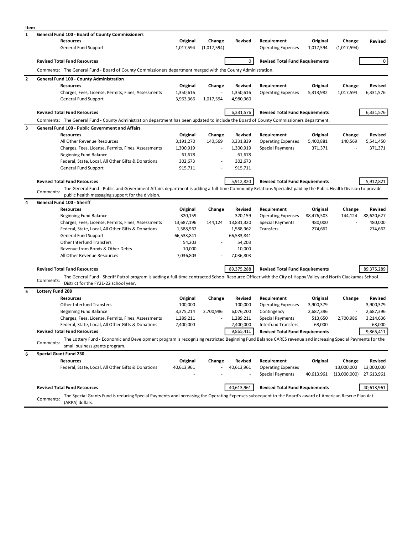| Item         |                                                                                                                                                                                                    |                  |                          |                  |                                        |            |              |            |  |
|--------------|----------------------------------------------------------------------------------------------------------------------------------------------------------------------------------------------------|------------------|--------------------------|------------------|----------------------------------------|------------|--------------|------------|--|
| $\mathbf{1}$ | <b>General Fund 100 - Board of County Commissioners</b>                                                                                                                                            |                  |                          |                  |                                        |            |              |            |  |
|              | <b>Resources</b>                                                                                                                                                                                   | Original         | Change                   | Revised          | Requirement                            | Original   | Change       | Revised    |  |
|              | General Fund Support                                                                                                                                                                               | 1,017,594        | (1,017,594)              |                  | <b>Operating Expenses</b>              | 1,017,594  | (1,017,594)  |            |  |
|              | <b>Revised Total Fund Resources</b>                                                                                                                                                                |                  |                          | 0                | <b>Revised Total Fund Requirements</b> |            |              | $\circ$    |  |
|              | Comments: The General Fund - Board of County Commissioners department merged with the County Administration.                                                                                       |                  |                          |                  |                                        |            |              |            |  |
| $\mathbf{2}$ | General Fund 100 - County Administration                                                                                                                                                           |                  |                          |                  |                                        |            |              |            |  |
|              | <b>Resources</b>                                                                                                                                                                                   | Original         | Change                   | Revised          | Requirement                            | Original   | Change       | Revised    |  |
|              | Charges, Fees, License, Permits, Fines, Assessments                                                                                                                                                | 1,350,616        |                          | 1,350,616        | <b>Operating Expenses</b>              | 5,313,982  | 1,017,594    | 6,331,576  |  |
|              | General Fund Support                                                                                                                                                                               | 3,963,366        | 1,017,594                | 4,980,960        |                                        |            |              |            |  |
|              | <b>Revised Total Fund Resources</b>                                                                                                                                                                |                  |                          | 6,331,576        | <b>Revised Total Fund Requirements</b> |            |              | 6,331,576  |  |
|              | Comments: The General Fund - County Administration department has been updated to include the Board of County Commissioners department.                                                            |                  |                          |                  |                                        |            |              |            |  |
| 3            | <b>General Fund 100 - Public Government and Affairs</b>                                                                                                                                            |                  |                          |                  |                                        |            |              |            |  |
|              | <b>Resources</b>                                                                                                                                                                                   | Original         | Change                   | Revised          | Requirement                            | Original   | Change       | Revised    |  |
|              | All Other Revenue Resources                                                                                                                                                                        | 3,191,270        | 140,569                  | 3,331,839        | <b>Operating Expenses</b>              | 5,400,881  | 140,569      | 5,541,450  |  |
|              | Charges, Fees, License, Permits, Fines, Assessments                                                                                                                                                | 1,300,919        | $\overline{a}$           | 1,300,919        | <b>Special Payments</b>                | 371,371    |              | 371,371    |  |
|              | <b>Beginning Fund Balance</b>                                                                                                                                                                      | 61,678           | $\overline{\phantom{a}}$ | 61,678           |                                        |            |              |            |  |
|              | Federal, State, Local, All Other Gifts & Donations                                                                                                                                                 | 302,673          |                          | 302,673          |                                        |            |              |            |  |
|              | General Fund Support                                                                                                                                                                               | 915,711          |                          | 915,711          |                                        |            |              |            |  |
|              | <b>Revised Total Fund Resources</b>                                                                                                                                                                |                  |                          | 5,912,820        | <b>Revised Total Fund Requirements</b> |            |              | 5,912,821  |  |
|              | The General Fund - Public and Government Affairs department is adding a full-time Community Relations Specialist paid by the Public Health Division to provide<br>Comments:                        |                  |                          |                  |                                        |            |              |            |  |
|              | public health messaging support for the division.                                                                                                                                                  |                  |                          |                  |                                        |            |              |            |  |
| 4            | General Fund 100 - Sheriff                                                                                                                                                                         |                  |                          |                  |                                        |            |              |            |  |
|              | <b>Resources</b>                                                                                                                                                                                   | Original         | Change                   | Revised          | Requirement                            | Original   | Change       | Revised    |  |
|              | <b>Beginning Fund Balance</b>                                                                                                                                                                      | 320,159          |                          | 320,159          | <b>Operating Expenses</b>              | 88,476,503 | 144,124      | 88,620,627 |  |
|              | Charges, Fees, License, Permits, Fines, Assessments                                                                                                                                                | 13,687,196       | 144,124                  | 13,831,320       | <b>Special Payments</b>                | 480,000    |              | 480,000    |  |
|              | Federal, State, Local, All Other Gifts & Donations                                                                                                                                                 | 1,588,962        |                          | 1,588,962        | Transfers                              | 274,662    |              | 274,662    |  |
|              | General Fund Support                                                                                                                                                                               | 66,533,841       |                          | 66,533,841       |                                        |            |              |            |  |
|              | Other Interfund Transfers<br>Revenue from Bonds & Other Debts                                                                                                                                      | 54,203<br>10,000 |                          | 54,203<br>10,000 |                                        |            |              |            |  |
|              | All Other Revenue Resources                                                                                                                                                                        | 7,036,803        |                          | 7,036,803        |                                        |            |              |            |  |
|              |                                                                                                                                                                                                    |                  |                          |                  |                                        |            |              |            |  |
|              | <b>Revised Total Fund Resources</b><br>The General Fund - Sheriff Patrol program is adding a full-time contracted School Resource Officer with the City of Happy Valley and North Clackamas School |                  |                          | 89,375,288       | <b>Revised Total Fund Requirements</b> |            |              | 89,375,289 |  |
|              | Comments:<br>District for the FY21-22 school year.                                                                                                                                                 |                  |                          |                  |                                        |            |              |            |  |
| 5            | Lottery Fund 208                                                                                                                                                                                   |                  |                          |                  |                                        |            |              |            |  |
|              | <b>Resources</b>                                                                                                                                                                                   | Original         | Change                   | Revised          | Requirement                            | Original   | Change       | Revised    |  |
|              | <b>Other Interfund Transfers</b>                                                                                                                                                                   | 100,000          |                          | 100,000          | <b>Operating Expenses</b>              | 3,900,379  |              | 3,900,379  |  |
|              | <b>Beginning Fund Balance</b>                                                                                                                                                                      | 3,375,214        | 2,700,986                | 6,076,200        | Contingency                            | 2,687,396  |              | 2,687,396  |  |
|              | Charges, Fees, License, Permits, Fines, Assessments                                                                                                                                                | 1,289,211        |                          | 1,289,211        | <b>Special Payments</b>                | 513,650    | 2,700,986    | 3,214,636  |  |
|              | Federal, State, Local, All Other Gifts & Donations                                                                                                                                                 | 2,400,000        |                          | 2.400.000        | Interfund Transfers                    | 63.000     |              | 63.000     |  |
|              | <b>Revised Total Fund Resources</b>                                                                                                                                                                |                  |                          | 9,865,411        | <b>Revised Total Fund Requirements</b> |            |              | 9,865,411  |  |
|              | The Lottery Fund - Economic and Development program is recognizing restricted Beginning Fund Balance CARES revenue and increasing Special Payments for the<br>Comments:                            |                  |                          |                  |                                        |            |              |            |  |
| 6            | small business grants program.<br><b>Special Grant Fund 230</b>                                                                                                                                    |                  |                          |                  |                                        |            |              |            |  |
|              | <b>Resources</b>                                                                                                                                                                                   | Original         | Change                   | Revised          | Requirement                            | Original   | Change       | Revised    |  |
|              | Federal, State, Local, All Other Gifts & Donations                                                                                                                                                 | 40,613,961       |                          | 40,613,961       | <b>Operating Expenses</b>              |            | 13,000,000   | 13,000,000 |  |
|              |                                                                                                                                                                                                    |                  |                          |                  | <b>Special Payments</b>                | 40,613,961 | (13,000,000) | 27,613,961 |  |
|              | <b>Revised Total Fund Resources</b>                                                                                                                                                                |                  |                          | 40,613,961       | <b>Revised Total Fund Requirements</b> |            |              | 40,613,961 |  |
|              |                                                                                                                                                                                                    |                  |                          |                  |                                        |            |              |            |  |
|              | The Special Grants Fund is reducing Special Payments and increasing the Operating Expenses subsequent to the Board's award of American Rescue Plan Act<br>Comments:<br>(ARPA) dollars.             |                  |                          |                  |                                        |            |              |            |  |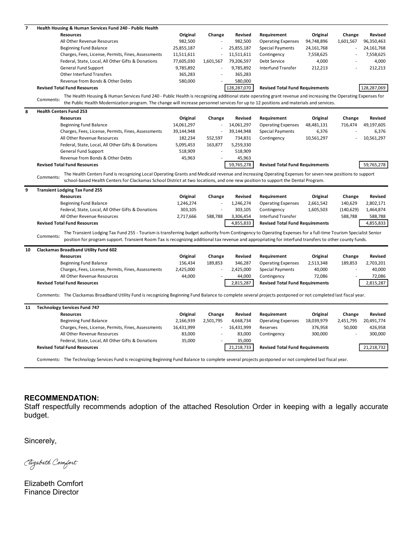| 7  | Health Housing & Human Services Fund 240 - Public Health                                                                                                                                                                                                                                                                               |            |                          |                |                                        |            |            |                |
|----|----------------------------------------------------------------------------------------------------------------------------------------------------------------------------------------------------------------------------------------------------------------------------------------------------------------------------------------|------------|--------------------------|----------------|----------------------------------------|------------|------------|----------------|
|    | <b>Resources</b>                                                                                                                                                                                                                                                                                                                       | Original   | Change                   | Revised        | Requirement                            | Original   | Change     | Revised        |
|    | All Other Revenue Resources                                                                                                                                                                                                                                                                                                            | 982,500    |                          | 982,500        | <b>Operating Expenses</b>              | 94,748,896 | 1,601,567  | 96,350,463     |
|    | <b>Beginning Fund Balance</b>                                                                                                                                                                                                                                                                                                          | 25,855,187 |                          | 25,855,187     | <b>Special Payments</b>                | 24,161,768 |            | 24,161,768     |
|    | Charges, Fees, License, Permits, Fines, Assessments                                                                                                                                                                                                                                                                                    | 11,511,611 | ÷,                       | 11,511,611     | Contingency                            | 7,558,625  | ÷.         | 7,558,625      |
|    | Federal, State, Local, All Other Gifts & Donations                                                                                                                                                                                                                                                                                     | 77,605,030 | 1,601,567                | 79,206,597     | Debt Service                           | 4,000      |            | 4,000          |
|    | General Fund Support                                                                                                                                                                                                                                                                                                                   | 9,785,892  | ä,                       | 9,785,892      | <b>Interfund Transfer</b>              | 212,213    |            | 212,213        |
|    | <b>Other Interfund Transfers</b>                                                                                                                                                                                                                                                                                                       | 365,283    |                          | 365,283        |                                        |            |            |                |
|    | Revenue from Bonds & Other Debts                                                                                                                                                                                                                                                                                                       | 580,000    |                          | 580,000        |                                        |            |            |                |
|    | <b>Revised Total Fund Resources</b>                                                                                                                                                                                                                                                                                                    |            |                          | 128,287,070    | <b>Revised Total Fund Requirements</b> |            |            | 128,287,069    |
|    | The Health Housing & Human Services Fund 240 - Public Health is recognizing additional state operating grant revenue and increasing the Operating Expenses for<br>Comments:<br>the Public Health Modernization program. The change will increase personnel services for up to 12 positions and materials and services.                 |            |                          |                |                                        |            |            |                |
| 8  | <b>Health Centers Fund 253</b>                                                                                                                                                                                                                                                                                                         |            |                          |                |                                        |            |            |                |
|    | <b>Resources</b>                                                                                                                                                                                                                                                                                                                       | Original   | Change                   | Revised        | Requirement                            | Original   | Change     | Revised        |
|    | <b>Beginning Fund Balance</b>                                                                                                                                                                                                                                                                                                          | 14,061,297 | ÷,                       | 14,061,297     | <b>Operating Expenses</b>              | 48,481,131 | 716,474    | 49,197,605     |
|    | Charges, Fees, License, Permits, Fines, Assessments                                                                                                                                                                                                                                                                                    | 39,144,948 | ÷,                       | 39,144,948     | <b>Special Payments</b>                | 6,376      |            | 6,376          |
|    | All Other Revenue Resources                                                                                                                                                                                                                                                                                                            | 182,234    | 552,597                  | 734,831        | Contingency                            | 10,561,297 |            | 10,561,297     |
|    | Federal, State, Local, All Other Gifts & Donations                                                                                                                                                                                                                                                                                     | 5,095,453  | 163,877                  | 5,259,330      |                                        |            |            |                |
|    | General Fund Support                                                                                                                                                                                                                                                                                                                   | 518,909    |                          | 518,909        |                                        |            |            |                |
|    | Revenue from Bonds & Other Debts                                                                                                                                                                                                                                                                                                       | 45,963     |                          | 45,963         |                                        |            |            |                |
|    | <b>Revised Total Fund Resources</b>                                                                                                                                                                                                                                                                                                    |            |                          | 59,765,278     | <b>Revised Total Fund Requirements</b> |            |            | 59,765,278     |
|    | The Health Centers Fund is recognizing Local Operating Grants and Medicaid revenue and increasing Operating Expenses for seven new positions to support<br>Comments:                                                                                                                                                                   |            |                          |                |                                        |            |            |                |
|    | school-based Health Centers for Clackamas School District at two locations, and one new position to support the Dental Program.                                                                                                                                                                                                        |            |                          |                |                                        |            |            |                |
| 9  | <b>Transient Lodging Tax Fund 255</b>                                                                                                                                                                                                                                                                                                  |            |                          |                |                                        |            |            |                |
|    | <b>Resources</b>                                                                                                                                                                                                                                                                                                                       | Original   | Change                   | Revised        | Requirement                            | Original   | Change     | <b>Revised</b> |
|    | <b>Beginning Fund Balance</b>                                                                                                                                                                                                                                                                                                          | 1,246,274  |                          | 1,246,274      | <b>Operating Expenses</b>              | 2,661,542  | 140,629    | 2,802,171      |
|    | Federal, State, Local, All Other Gifts & Donations                                                                                                                                                                                                                                                                                     | 303,105    |                          | 303,105        | Contingency                            | 1,605,503  | (140, 629) | 1,464,874      |
|    | All Other Revenue Resources                                                                                                                                                                                                                                                                                                            | 2,717,666  | 588,788                  | 3,306,454      | Interfund Transfer                     |            | 588,788    | 588,788        |
|    | <b>Revised Total Fund Resources</b>                                                                                                                                                                                                                                                                                                    |            |                          | 4,855,833      | <b>Revised Total Fund Requirements</b> |            |            | 4,855,833      |
|    | The Transient Lodging Tax Fund 255 - Tourism is transferring budget authority from Contingency to Operating Expenses for a full-time Tourism Specialist Senior<br>Comments:<br>position for program support. Transient Room Tax is recognizing additional tax revenue and appropriating for interfund transfers to other county funds. |            |                          |                |                                        |            |            |                |
|    |                                                                                                                                                                                                                                                                                                                                        |            |                          |                |                                        |            |            |                |
| 10 | <b>Clackamas Broadband Utility Fund 602</b>                                                                                                                                                                                                                                                                                            |            |                          |                |                                        |            |            |                |
|    | <b>Resources</b>                                                                                                                                                                                                                                                                                                                       | Original   | Change                   | <b>Revised</b> | Requirement                            | Original   | Change     | Revised        |
|    | <b>Beginning Fund Balance</b>                                                                                                                                                                                                                                                                                                          | 156,434    | 189,853                  | 346,287        | <b>Operating Expenses</b>              | 2,513,348  | 189,853    | 2,703,201      |
|    | Charges, Fees, License, Permits, Fines, Assessments                                                                                                                                                                                                                                                                                    | 2,425,000  |                          | 2,425,000      | <b>Special Payments</b>                | 40,000     |            | 40,000         |
|    | All Other Revenue Resources                                                                                                                                                                                                                                                                                                            | 44,000     |                          | 44,000         | Contingency                            | 72,086     |            | 72,086         |
|    | <b>Revised Total Fund Resources</b>                                                                                                                                                                                                                                                                                                    |            |                          | 2,815,287      | <b>Revised Total Fund Requirements</b> |            |            | 2,815,287      |
|    | Comments: The Clackamas Broadband Utility Fund is recognizing Beginning Fund Balance to complete several projects postponed or not completed last fiscal year.                                                                                                                                                                         |            |                          |                |                                        |            |            |                |
| 11 | <b>Technology Services Fund 747</b>                                                                                                                                                                                                                                                                                                    |            |                          |                |                                        |            |            |                |
|    | <b>Resources</b>                                                                                                                                                                                                                                                                                                                       | Original   | Change                   | Revised        | Requirement                            | Original   | Change     | Revised        |
|    | <b>Beginning Fund Balance</b>                                                                                                                                                                                                                                                                                                          | 2,166,939  | 2,501,795                | 4,668,734      | <b>Operating Expenses</b>              | 18,039,979 | 2,451,795  | 20,491,774     |
|    | Charges, Fees, License, Permits, Fines, Assessments                                                                                                                                                                                                                                                                                    | 16,431,999 | $\overline{\phantom{a}}$ | 16,431,999     | Reserves                               | 376,958    | 50,000     | 426,958        |
|    | All Other Revenue Resources                                                                                                                                                                                                                                                                                                            | 83,000     |                          | 83,000         | Contingency                            | 300,000    |            | 300,000        |
|    | Federal, State, Local, All Other Gifts & Donations                                                                                                                                                                                                                                                                                     | 35,000     |                          | 35,000         |                                        |            |            |                |
|    | <b>Revised Total Fund Resources</b>                                                                                                                                                                                                                                                                                                    |            |                          | 21,218,733     | <b>Revised Total Fund Requirements</b> |            |            | 21,218,732     |
|    | Comments: The Technology Services Fund is recognizing Beginning Fund Balance to complete several projects postponed or not completed last fiscal year.                                                                                                                                                                                 |            |                          |                |                                        |            |            |                |

## RECOMMENDATION:

Staff respectfully recommends adoption of the attached Resolution Order in keeping with a legally accurate budget.

Sincerely,

Clizabeth Comfort

Elizabeth Comfort Finance Director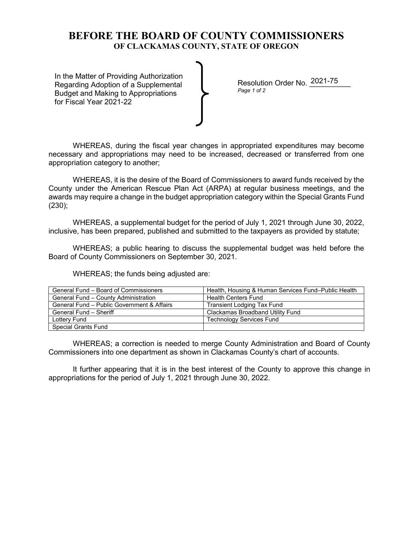# **BEFORE THE BOARD OF COUNTY COMMISSIONERS OF CLACKAMAS COUNTY, STATE OF OREGON**

In the Matter of Providing Authorization Regarding Adoption of a Supplemental Budget and Making to Appropriations for Fiscal Year 2021-22

Resolution Order No. 2021-75 *Page 1 of 2*

WHEREAS, during the fiscal year changes in appropriated expenditures may become necessary and appropriations may need to be increased, decreased or transferred from one appropriation category to another;

WHEREAS, it is the desire of the Board of Commissioners to award funds received by the County under the American Rescue Plan Act (ARPA) at regular business meetings, and the awards may require a change in the budget appropriation category within the Special Grants Fund (230);

WHEREAS, a supplemental budget for the period of July 1, 2021 through June 30, 2022, inclusive, has been prepared, published and submitted to the taxpayers as provided by statute;

WHEREAS; a public hearing to discuss the supplemental budget was held before the Board of County Commissioners on September 30, 2021.

WHEREAS; the funds being adjusted are:

| General Fund – Board of Commissioners      | Health, Housing & Human Services Fund-Public Health |
|--------------------------------------------|-----------------------------------------------------|
| General Fund - County Administration       | <b>Health Centers Fund</b>                          |
| General Fund - Public Government & Affairs | <b>Transient Lodging Tax Fund</b>                   |
| General Fund - Sheriff                     | Clackamas Broadband Utility Fund                    |
| Lottery Fund                               | <b>Technology Services Fund</b>                     |
| <b>Special Grants Fund</b>                 |                                                     |

WHEREAS; a correction is needed to merge County Administration and Board of County Commissioners into one department as shown in Clackamas County's chart of accounts.

It further appearing that it is in the best interest of the County to approve this change in appropriations for the period of July 1, 2021 through June 30, 2022.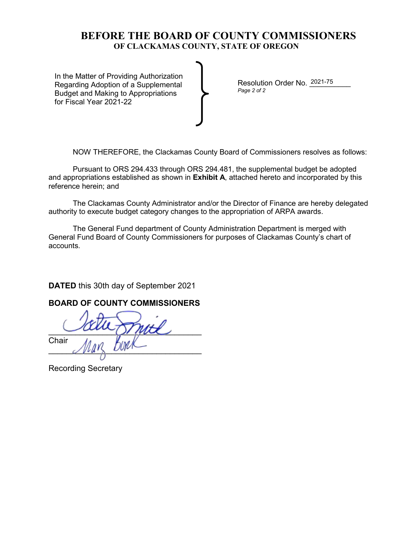# **BEFORE THE BOARD OF COUNTY COMMISSIONERS OF CLACKAMAS COUNTY, STATE OF OREGON**

In the Matter of Providing Authorization Regarding Adoption of a Supplemental Budget and Making to Appropriations for Fiscal Year 2021-22

Resolution Order No. 2021-75 *Page 2 of 2* 

NOW THEREFORE, the Clackamas County Board of Commissioners resolves as follows:

Pursuant to ORS 294.433 through ORS 294.481, the supplemental budget be adopted and appropriations established as shown in **Exhibit A**, attached hereto and incorporated by this reference herein; and

The Clackamas County Administrator and/or the Director of Finance are hereby delegated authority to execute budget category changes to the appropriation of ARPA awards.

The General Fund department of County Administration Department is merged with General Fund Board of County Commissioners for purposes of Clackamas County's chart of accounts.

**DATED** this 30th day of September 2021

## **BOARD OF COUNTY COMMISSIONERS**

 $\sim$  and  $\sim$ **Chair**  $\mathcal{N}$ 

Recording Secretary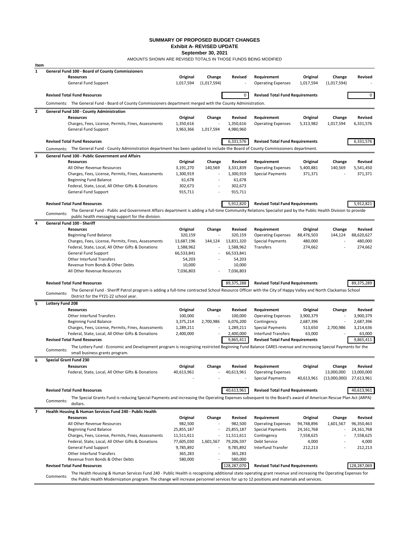#### **SUMMARY OF PROPOSED BUDGET CHANGES Exhibit A- REVISED UPDATE**

**September 30, 2021**

AMOUNTS SHOWN ARE REVISED TOTALS IN THOSE FUNDS BEING MODIFIED

| Item           |                                                                                                                                                                                                           |                        |                          |                        |                                                      |                  |                            |                                             |
|----------------|-----------------------------------------------------------------------------------------------------------------------------------------------------------------------------------------------------------|------------------------|--------------------------|------------------------|------------------------------------------------------|------------------|----------------------------|---------------------------------------------|
| $\mathbf{1}$   | General Fund 100 - Board of County Commissioners<br>Resources                                                                                                                                             | Original               | Change                   | Revised                | Requirement                                          | Original         | Change                     | <b>Revised</b>                              |
|                | General Fund Support                                                                                                                                                                                      | 1,017,594              | (1,017,594)              |                        | <b>Operating Expenses</b>                            | 1,017,594        | (1,017,594)                |                                             |
|                | <b>Revised Total Fund Resources</b>                                                                                                                                                                       |                        |                          | 0                      | <b>Revised Total Fund Requirements</b>               |                  |                            | $\mathbf{0}$                                |
|                | Comments: The General Fund - Board of County Commissioners department merged with the County Administration.                                                                                              |                        |                          |                        |                                                      |                  |                            |                                             |
| $\overline{2}$ | General Fund 100 - County Administration                                                                                                                                                                  |                        |                          |                        |                                                      |                  |                            |                                             |
|                | <b>Resources</b>                                                                                                                                                                                          | Original               | Change                   | Revised                | Requirement                                          | Original         | Change                     | <b>Revised</b>                              |
|                | Charges, Fees, License, Permits, Fines, Assessments<br>General Fund Support                                                                                                                               | 1,350,616<br>3,963,366 | 1,017,594                | 1,350,616<br>4,980,960 | <b>Operating Expenses</b>                            | 5,313,982        | 1,017,594                  | 6,331,576                                   |
|                | <b>Revised Total Fund Resources</b>                                                                                                                                                                       |                        |                          | 6,331,576              | <b>Revised Total Fund Requirements</b>               |                  |                            | 6,331,576                                   |
|                | Comments: The General Fund - County Administration department has been updated to include the Board of County Commissioners department.                                                                   |                        |                          |                        |                                                      |                  |                            |                                             |
| 3              | General Fund 100 - Public Government and Affairs                                                                                                                                                          |                        |                          |                        |                                                      |                  |                            |                                             |
|                | <b>Resources</b>                                                                                                                                                                                          | Original               | Change                   | Revised                | Requirement                                          | Original         | Change                     | <b>Revised</b>                              |
|                | All Other Revenue Resources                                                                                                                                                                               | 3,191,270              | 140,569                  | 3,331,839              | <b>Operating Expenses</b>                            | 5,400,881        | 140,569                    | 5,541,450                                   |
|                | Charges, Fees, License, Permits, Fines, Assessments                                                                                                                                                       | 1,300,919              |                          | 1,300,919              | <b>Special Payments</b>                              | 371,371          |                            | 371,371                                     |
|                | <b>Beginning Fund Balance</b>                                                                                                                                                                             | 61,678                 | $\overline{\phantom{a}}$ | 61,678                 |                                                      |                  |                            |                                             |
|                | Federal, State, Local, All Other Gifts & Donations                                                                                                                                                        | 302,673                |                          | 302,673                |                                                      |                  |                            |                                             |
|                | General Fund Support                                                                                                                                                                                      | 915,711                |                          | 915,711                |                                                      |                  |                            |                                             |
|                | <b>Revised Total Fund Resources</b>                                                                                                                                                                       |                        |                          | 5,912,820              | <b>Revised Total Fund Requirements</b>               |                  |                            | 5,912,821                                   |
|                | The General Fund - Public and Government Affairs department is adding a full-time Community Relations Specialist paid by the Public Health Division to provide                                            |                        |                          |                        |                                                      |                  |                            |                                             |
|                | Comments:<br>public health messaging support for the division.                                                                                                                                            |                        |                          |                        |                                                      |                  |                            |                                             |
| 4              | General Fund 100 - Sheriff                                                                                                                                                                                |                        |                          |                        |                                                      |                  |                            |                                             |
|                | <b>Resources</b>                                                                                                                                                                                          | Original               | Change                   | Revised                | Requirement                                          | Original         | Change                     | <b>Revised</b>                              |
|                | <b>Beginning Fund Balance</b>                                                                                                                                                                             | 320,159                |                          | 320,159                | <b>Operating Expenses</b>                            | 88,476,503       | 144,124                    | 88,620,627                                  |
|                | Charges, Fees, License, Permits, Fines, Assessments                                                                                                                                                       | 13,687,196             | 144,124                  | 13,831,320             | <b>Special Payments</b>                              | 480,000          |                            | 480,000                                     |
|                | Federal, State, Local, All Other Gifts & Donations                                                                                                                                                        | 1,588,962              |                          | 1,588,962              | Transfers                                            | 274,662          |                            | 274,662                                     |
|                | General Fund Support                                                                                                                                                                                      | 66,533,841             | $\overline{a}$           | 66,533,841             |                                                      |                  |                            |                                             |
|                |                                                                                                                                                                                                           |                        |                          |                        |                                                      |                  |                            |                                             |
|                | Other Interfund Transfers                                                                                                                                                                                 | 54,203                 |                          | 54,203                 |                                                      |                  |                            |                                             |
|                | Revenue from Bonds & Other Debts                                                                                                                                                                          | 10,000                 |                          | 10,000                 |                                                      |                  |                            |                                             |
|                | All Other Revenue Resources                                                                                                                                                                               | 7,036,803              |                          | 7,036,803              |                                                      |                  |                            |                                             |
|                | <b>Revised Total Fund Resources</b>                                                                                                                                                                       |                        |                          | 89,375,288             | <b>Revised Total Fund Requirements</b>               |                  |                            | 89,375,289                                  |
|                | The General Fund - Sheriff Patrol program is adding a full-time contracted School Resource Officer with the City of Happy Valley and North Clackamas School                                               |                        |                          |                        |                                                      |                  |                            |                                             |
|                | Comments:<br>District for the FY21-22 school year.                                                                                                                                                        |                        |                          |                        |                                                      |                  |                            |                                             |
| 5              | <b>Lottery Fund 208</b>                                                                                                                                                                                   |                        |                          |                        |                                                      |                  |                            |                                             |
|                | <b>Resources</b>                                                                                                                                                                                          | Original               | Change                   | Revised                | Requirement                                          | Original         | Change                     | <b>Revised</b>                              |
|                | Other Interfund Transfers                                                                                                                                                                                 | 100,000                |                          | 100,000                | <b>Operating Expenses</b>                            | 3,900,379        |                            | 3,900,379                                   |
|                | <b>Beginning Fund Balance</b>                                                                                                                                                                             | 3,375,214              | 2,700,986                | 6,076,200              | Contingency                                          | 2,687,396        |                            | 2,687,396                                   |
|                | Charges, Fees, License, Permits, Fines, Assessments                                                                                                                                                       | 1,289,211              |                          | 1,289,211              | <b>Special Payments</b>                              | 513,650          | 2,700,986                  | 3,214,636                                   |
|                | Federal, State, Local, All Other Gifts & Donations                                                                                                                                                        | 2,400,000              |                          | 2,400,000              | <b>Interfund Transfers</b>                           | 63,000           |                            | 63,000                                      |
|                | <b>Revised Total Fund Resources</b>                                                                                                                                                                       |                        |                          | 9,865,411              | <b>Revised Total Fund Requirements</b>               |                  |                            |                                             |
|                | The Lottery Fund - Economic and Development program is recognizing restricted Beginning Fund Balance CARES revenue and increasing Special Payments for the<br>Comments:<br>small business grants program. |                        |                          |                        |                                                      |                  |                            |                                             |
|                | <b>Special Grant Fund 230</b>                                                                                                                                                                             |                        |                          |                        |                                                      |                  |                            |                                             |
| 6              | <b>Resources</b>                                                                                                                                                                                          | Original               | Change                   | Revised                | Requirement                                          | Original         | Change                     | Revised                                     |
|                | Federal, State, Local, All Other Gifts & Donations                                                                                                                                                        | 40,613,961             |                          | 40,613,961             | <b>Operating Expenses</b><br><b>Special Payments</b> | 40,613,961       | 13,000,000<br>(13,000,000) | 13,000,000<br>27,613,961                    |
|                |                                                                                                                                                                                                           |                        |                          |                        |                                                      |                  |                            |                                             |
|                | <b>Revised Total Fund Resources</b>                                                                                                                                                                       |                        |                          | 40,613,961             | <b>Revised Total Fund Requirements</b>               |                  |                            |                                             |
|                | The Special Grants Fund is reducing Special Payments and increasing the Operating Expenses subsequent to the Board's award of American Rescue Plan Act (ARPA)<br>Comments:                                |                        |                          |                        |                                                      |                  |                            | 9,865,411<br>40,613,961                     |
|                | dollars.                                                                                                                                                                                                  |                        |                          |                        |                                                      |                  |                            |                                             |
|                | Health Housing & Human Services Fund 240 - Public Health                                                                                                                                                  |                        |                          |                        |                                                      |                  |                            |                                             |
|                | <b>Resources</b>                                                                                                                                                                                          | Original               | Change                   | Revised                | Requirement                                          | Original         | Change                     |                                             |
|                | All Other Revenue Resources                                                                                                                                                                               | 982,500                |                          | 982,500                | <b>Operating Expenses</b>                            | 94,748,896       | 1,601,567                  | 96,350,463                                  |
|                | <b>Beginning Fund Balance</b>                                                                                                                                                                             | 25,855,187             |                          | 25,855,187             | <b>Special Payments</b>                              | 24,161,768       |                            |                                             |
|                | Charges, Fees, License, Permits, Fines, Assessments                                                                                                                                                       | 11,511,611             |                          | 11,511,611             | Contingency                                          | 7,558,625        |                            | <b>Revised</b><br>24, 161, 768<br>7,558,625 |
|                | Federal, State, Local, All Other Gifts & Donations                                                                                                                                                        | 77,605,030             | 1,601,567                | 79,206,597             | Debt Service<br>Interfund Transfer                   | 4,000<br>212,213 |                            | 4,000                                       |
|                | General Fund Support<br>Other Interfund Transfers                                                                                                                                                         | 9,785,892<br>365,283   |                          | 9,785,892<br>365,283   |                                                      |                  |                            | 212,213                                     |
|                | Revenue from Bonds & Other Debts                                                                                                                                                                          | 580,000                |                          | 580,000                |                                                      |                  |                            |                                             |
| $\overline{7}$ | <b>Revised Total Fund Resources</b>                                                                                                                                                                       |                        |                          | 128,287,070            | <b>Revised Total Fund Requirements</b>               |                  |                            | 128,287,069                                 |